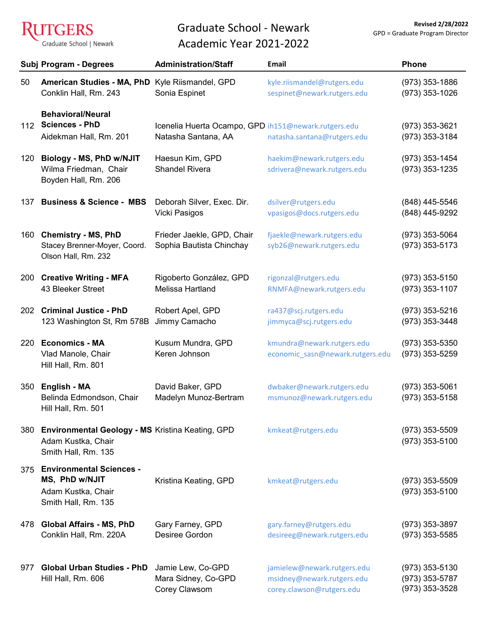ŀ GERS Graduate School | Newark

## Graduate School - Newark Academic Year 2021-2022

|     | Subj Program - Degrees                                                                               | <b>Administration/Staff</b>                                                 | Email                                                                                  | <b>Phone</b>                                         |
|-----|------------------------------------------------------------------------------------------------------|-----------------------------------------------------------------------------|----------------------------------------------------------------------------------------|------------------------------------------------------|
| 50  | <b>American Studies - MA, PhD</b><br>Conklin Hall, Rm. 243                                           | Kyle Riismandel, GPD<br>Sonia Espinet                                       | kyle.riismandel@rutgers.edu<br>sespinet@newark.rutgers.edu                             | $(973)$ 353-1886<br>(973) 353-1026                   |
| 112 | <b>Behavioral/Neural</b><br><b>Sciences - PhD</b><br>Aidekman Hall, Rm. 201                          | Icenelia Huerta Ocampo, GPD ih151@newark.rutgers.edu<br>Natasha Santana, AA | natasha.santana@rutgers.edu                                                            | (973) 353-3621<br>(973) 353-3184                     |
| 120 | Biology - MS, PhD w/NJIT<br>Wilma Friedman, Chair<br>Boyden Hall, Rm. 206                            | Haesun Kim, GPD<br><b>Shandel Rivera</b>                                    | haekim@newark.rutgers.edu<br>sdrivera@newark.rutgers.edu                               | $(973)$ 353-1454<br>$(973)$ 353-1235                 |
| 137 | <b>Business &amp; Science - MBS</b>                                                                  | Deborah Silver, Exec. Dir.<br>Vicki Pasigos                                 | dsilver@rutgers.edu<br>vpasigos@docs.rutgers.edu                                       | (848) 445-5546<br>(848) 445-9292                     |
| 160 | <b>Chemistry - MS, PhD</b><br>Stacey Brenner-Moyer, Coord.<br>Olson Hall, Rm. 232                    | Frieder Jaekle, GPD, Chair<br>Sophia Bautista Chinchay                      | fjaekle@newark.rutgers.edu<br>syb26@newark.rutgers.edu                                 | $(973)$ 353-5064<br>$(973)$ 353-5173                 |
| 200 | <b>Creative Writing - MFA</b><br>43 Bleeker Street                                                   | Rigoberto González, GPD<br>Melissa Hartland                                 | rigonzal@rutgers.edu<br>RNMFA@newark.rutgers.edu                                       | $(973)$ 353-5150<br>$(973)$ 353-1107                 |
| 202 | <b>Criminal Justice - PhD</b><br>123 Washington St, Rm 578B                                          | Robert Apel, GPD<br>Jimmy Camacho                                           | ra437@scj.rutgers.edu<br>jimmyca@scj.rutgers.edu                                       | $(973)$ 353-5216<br>(973) 353-3448                   |
| 220 | <b>Economics - MA</b><br>Vlad Manole, Chair<br>Hill Hall, Rm. 801                                    | Kusum Mundra, GPD<br>Keren Johnson                                          | kmundra@newark.rutgers.edu<br>economic_sasn@newark.rutgers.edu                         | $(973)$ 353-5350<br>$(973)$ 353-5259                 |
| 350 | English - MA<br>Belinda Edmondson, Chair<br>Hill Hall, Rm. 501                                       | David Baker, GPD<br>Madelyn Munoz-Bertram                                   | dwbaker@newark.rutgers.edu<br>msmunoz@newark.rutgers.edu                               | $(973)$ 353-5061<br>(973) 353-5158                   |
| 380 | <b>Environmental Geology - MS Kristina Keating, GPD</b><br>Adam Kustka, Chair<br>Smith Hall, Rm. 135 |                                                                             | kmkeat@rutgers.edu                                                                     | $(973)$ 353-5509<br>$(973)$ 353-5100                 |
| 375 | <b>Environmental Sciences -</b><br>MS, PhD w/NJIT<br>Adam Kustka, Chair<br>Smith Hall, Rm. 135       | Kristina Keating, GPD                                                       | kmkeat@rutgers.edu                                                                     | $(973)$ 353-5509<br>$(973)$ 353-5100                 |
| 478 | <b>Global Affairs - MS, PhD</b><br>Conklin Hall, Rm. 220A                                            | Gary Farney, GPD<br>Desiree Gordon                                          | gary.farney@rutgers.edu<br>desireeg@newark.rutgers.edu                                 | $(973)$ 353-3897<br>$(973)$ 353-5585                 |
| 977 | <b>Global Urban Studies - PhD</b><br>Hill Hall, Rm. 606                                              | Jamie Lew, Co-GPD<br>Mara Sidney, Co-GPD<br>Corey Clawsom                   | jamielew@newark.rutgers.edu<br>msidney@newark.rutgers.edu<br>corey.clawson@rutgers.edu | $(973)$ 353-5130<br>(973) 353-5787<br>(973) 353-3528 |